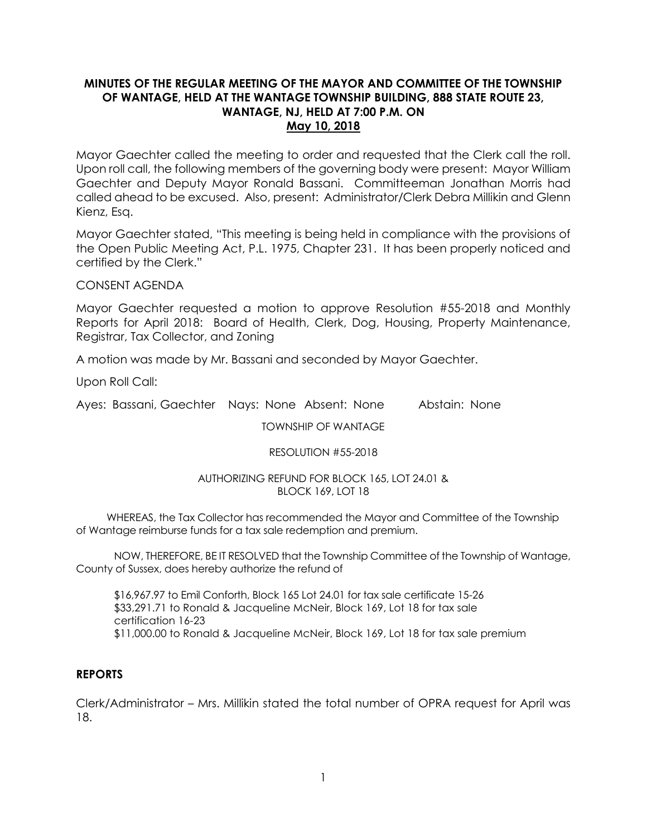# **MINUTES OF THE REGULAR MEETING OF THE MAYOR AND COMMITTEE OF THE TOWNSHIP OF WANTAGE, HELD AT THE WANTAGE TOWNSHIP BUILDING, 888 STATE ROUTE 23, WANTAGE, NJ, HELD AT 7:00 P.M. ON May 10, 2018**

Mayor Gaechter called the meeting to order and requested that the Clerk call the roll. Upon roll call, the following members of the governing body were present: Mayor William Gaechter and Deputy Mayor Ronald Bassani. Committeeman Jonathan Morris had called ahead to be excused. Also, present: Administrator/Clerk Debra Millikin and Glenn Kienz, Esq.

Mayor Gaechter stated, "This meeting is being held in compliance with the provisions of the Open Public Meeting Act, P.L. 1975, Chapter 231. It has been properly noticed and certified by the Clerk."

CONSENT AGENDA

Mayor Gaechter requested a motion to approve Resolution #55-2018 and Monthly Reports for April 2018: Board of Health, Clerk, Dog, Housing, Property Maintenance, Registrar, Tax Collector, and Zoning

A motion was made by Mr. Bassani and seconded by Mayor Gaechter.

Upon Roll Call:

Ayes: Bassani, Gaechter Nays: None Absent: None Abstain: None

TOWNSHIP OF WANTAGE

## RESOLUTION #55-2018

## AUTHORIZING REFUND FOR BLOCK 165, LOT 24.01 & BLOCK 169, LOT 18

 WHEREAS, the Tax Collector has recommended the Mayor and Committee of the Township of Wantage reimburse funds for a tax sale redemption and premium.

NOW, THEREFORE, BE IT RESOLVED that the Township Committee of the Township of Wantage, County of Sussex, does hereby authorize the refund of

\$16,967.97 to Emil Conforth, Block 165 Lot 24.01 for tax sale certificate 15-26 \$33,291.71 to Ronald & Jacqueline McNeir, Block 169, Lot 18 for tax sale certification 16-23 \$11,000.00 to Ronald & Jacqueline McNeir, Block 169, Lot 18 for tax sale premium

# **REPORTS**

Clerk/Administrator – Mrs. Millikin stated the total number of OPRA request for April was 18.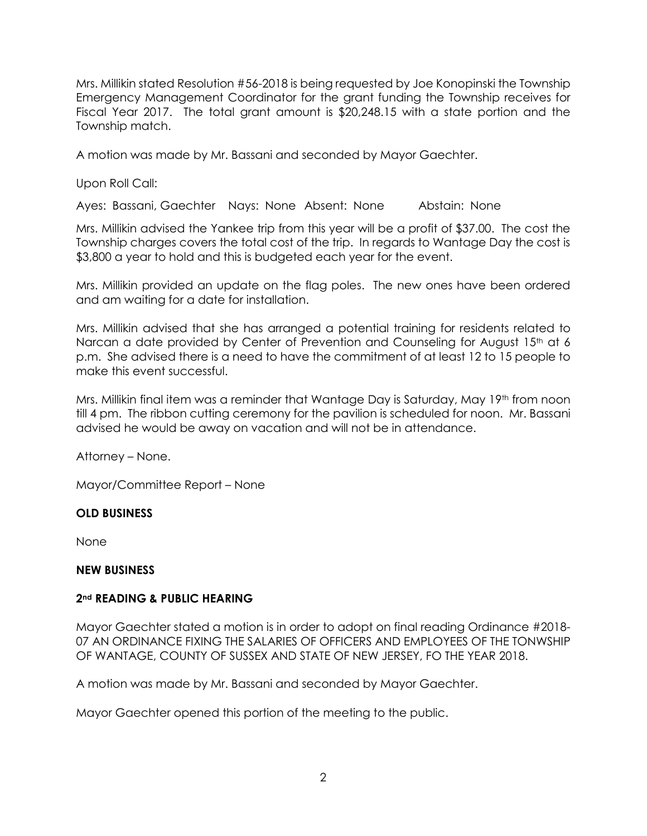Mrs. Millikin stated Resolution #56-2018 is being requested by Joe Konopinski the Township Emergency Management Coordinator for the grant funding the Township receives for Fiscal Year 2017. The total grant amount is \$20,248.15 with a state portion and the Township match.

A motion was made by Mr. Bassani and seconded by Mayor Gaechter.

Upon Roll Call:

Ayes: Bassani, Gaechter Nays: None Absent: None Abstain: None

Mrs. Millikin advised the Yankee trip from this year will be a profit of \$37.00. The cost the Township charges covers the total cost of the trip. In regards to Wantage Day the cost is \$3,800 a year to hold and this is budgeted each year for the event.

Mrs. Millikin provided an update on the flag poles. The new ones have been ordered and am waiting for a date for installation.

Mrs. Millikin advised that she has arranged a potential training for residents related to Narcan a date provided by Center of Prevention and Counseling for August 15<sup>th</sup> at 6 p.m. She advised there is a need to have the commitment of at least 12 to 15 people to make this event successful.

Mrs. Millikin final item was a reminder that Wantage Day is Saturday, May 19<sup>th</sup> from noon till 4 pm. The ribbon cutting ceremony for the pavilion is scheduled for noon. Mr. Bassani advised he would be away on vacation and will not be in attendance.

Attorney – None.

Mayor/Committee Report – None

# **OLD BUSINESS**

None

# **NEW BUSINESS**

# **2nd READING & PUBLIC HEARING**

Mayor Gaechter stated a motion is in order to adopt on final reading Ordinance #2018- 07 AN ORDINANCE FIXING THE SALARIES OF OFFICERS AND EMPLOYEES OF THE TONWSHIP OF WANTAGE, COUNTY OF SUSSEX AND STATE OF NEW JERSEY, FO THE YEAR 2018.

A motion was made by Mr. Bassani and seconded by Mayor Gaechter.

Mayor Gaechter opened this portion of the meeting to the public.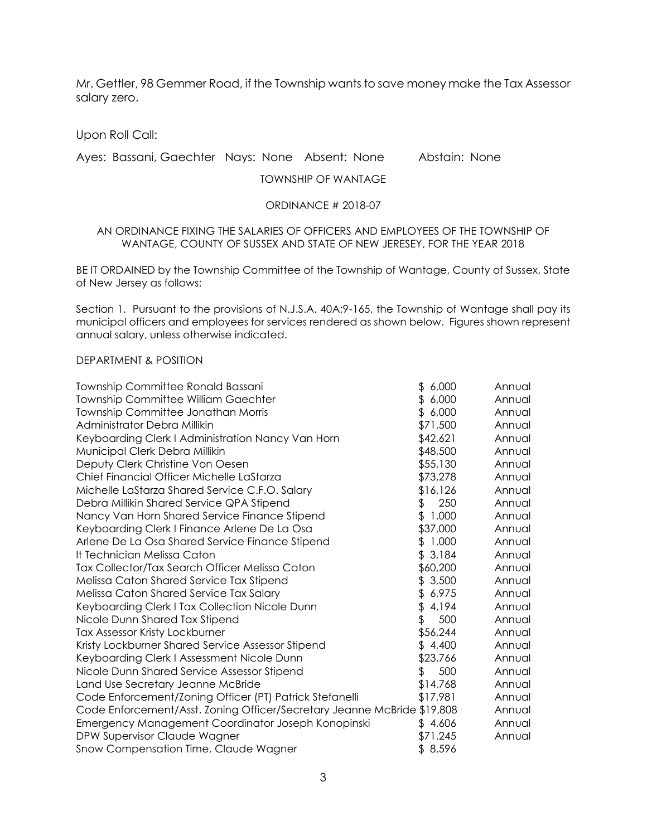Mr. Gettler, 98 Gemmer Road, if the Township wants to save money make the Tax Assessor salary zero.

Upon Roll Call:

# Ayes: Bassani, Gaechter Nays: None Absent: None Abstain: None

#### TOWNSHIP OF WANTAGE

#### ORDINANCE # 2018-07

#### AN ORDINANCE FIXING THE SALARIES OF OFFICERS AND EMPLOYEES OF THE TOWNSHIP OF WANTAGE, COUNTY OF SUSSEX AND STATE OF NEW JERESEY, FOR THE YEAR 2018

BE IT ORDAINED by the Township Committee of the Township of Wantage, County of Sussex, State of New Jersey as follows:

Section 1. Pursuant to the provisions of N.J.S.A. 40A:9-165, the Township of Wantage shall pay its municipal officers and employees for services rendered as shown below. Figures shown represent annual salary, unless otherwise indicated.

#### DEPARTMENT & POSITION

| Township Committee Ronald Bassani                                       | \$6,000     | Annual |
|-------------------------------------------------------------------------|-------------|--------|
| <b>Township Committee William Gaechter</b>                              | 6,000<br>\$ | Annual |
| Township Committee Jonathan Morris                                      | \$6,000     | Annual |
| Administrator Debra Millikin                                            | \$71,500    | Annual |
| Keyboarding Clerk I Administration Nancy Van Horn                       | \$42,621    | Annual |
| Municipal Clerk Debra Millikin                                          | \$48,500    | Annual |
| Deputy Clerk Christine Von Oesen                                        | \$55,130    | Annual |
| Chief Financial Officer Michelle LaStarza                               | \$73,278    | Annual |
| Michelle LaStarza Shared Service C.F.O. Salary                          | \$16,126    | Annual |
| Debra Millikin Shared Service QPA Stipend                               | 250<br>\$   | Annual |
| Nancy Van Horn Shared Service Finance Stipend                           | \$1,000     | Annual |
| Keyboarding Clerk I Finance Arlene De La Osa                            | \$37,000    | Annual |
| Arlene De La Osa Shared Service Finance Stipend                         | \$1,000     | Annual |
| It Technician Melissa Caton                                             | \$3,184     | Annual |
| Tax Collector/Tax Search Officer Melissa Caton                          | \$60,200    | Annual |
| Melissa Caton Shared Service Tax Stipend                                | \$3,500     | Annual |
| Melissa Caton Shared Service Tax Salary                                 | \$6,975     | Annual |
| Keyboarding Clerk I Tax Collection Nicole Dunn                          | \$<br>4,194 | Annual |
| Nicole Dunn Shared Tax Stipend                                          | \$<br>500   | Annual |
| Tax Assessor Kristy Lockburner                                          | \$56,244    | Annual |
| Kristy Lockburner Shared Service Assessor Stipend                       | \$4,400     | Annual |
| Keyboarding Clerk I Assessment Nicole Dunn                              | \$23,766    | Annual |
| Nicole Dunn Shared Service Assessor Stipend                             | 500<br>\$   | Annual |
| Land Use Secretary Jeanne McBride                                       | \$14,768    | Annual |
| Code Enforcement/Zoning Officer (PT) Patrick Stefanelli                 | \$17,981    | Annual |
| Code Enforcement/Asst. Zoning Officer/Secretary Jeanne McBride \$19,808 |             | Annual |
| Emergency Management Coordinator Joseph Konopinski                      | \$4,606     | Annual |
| DPW Supervisor Claude Wagner                                            | \$71,245    | Annual |
| Snow Compensation Time, Claude Wagner                                   | \$8,596     |        |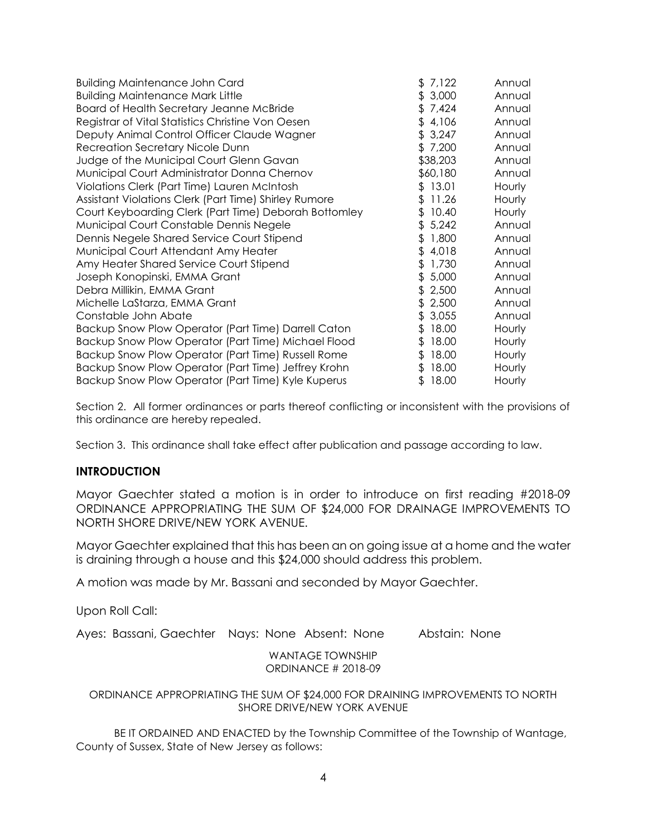| \$7,122     | Annual |
|-------------|--------|
| \$3,000     | Annual |
| \$7,424     | Annual |
| \$4,106     | Annual |
| \$3,247     | Annual |
| \$7,200     | Annual |
| \$38,203    | Annual |
| \$60,180    | Annual |
| \$13.01     | Hourly |
| \$11.26     | Hourly |
| 10.40<br>\$ | Hourly |
| \$5,242     | Annual |
| 1,800<br>\$ | Annual |
| \$4,018     | Annual |
| 1,730<br>\$ | Annual |
| 5,000<br>\$ | Annual |
| \$2,500     | Annual |
| 2,500<br>\$ | Annual |
| \$3,055     | Annual |
| 18.00<br>\$ | Hourly |
| \$18.00     | Hourly |
| 18.00<br>\$ | Hourly |
| \$18.00     | Hourly |
| 18.00<br>\$ | Hourly |
|             |        |

Section 2. All former ordinances or parts thereof conflicting or inconsistent with the provisions of this ordinance are hereby repealed.

Section 3. This ordinance shall take effect after publication and passage according to law.

## **INTRODUCTION**

Mayor Gaechter stated a motion is in order to introduce on first reading #2018-09 ORDINANCE APPROPRIATING THE SUM OF \$24,000 FOR DRAINAGE IMPROVEMENTS TO NORTH SHORE DRIVE/NEW YORK AVENUE.

Mayor Gaechter explained that this has been an on going issue at a home and the water is draining through a house and this \$24,000 should address this problem.

A motion was made by Mr. Bassani and seconded by Mayor Gaechter.

Upon Roll Call:

Ayes: Bassani, Gaechter Nays: None Absent: None Abstain: None

WANTAGE TOWNSHIP ORDINANCE # 2018-09

ORDINANCE APPROPRIATING THE SUM OF \$24,000 FOR DRAINING IMPROVEMENTS TO NORTH SHORE DRIVE/NEW YORK AVENUE

BE IT ORDAINED AND ENACTED by the Township Committee of the Township of Wantage, County of Sussex, State of New Jersey as follows: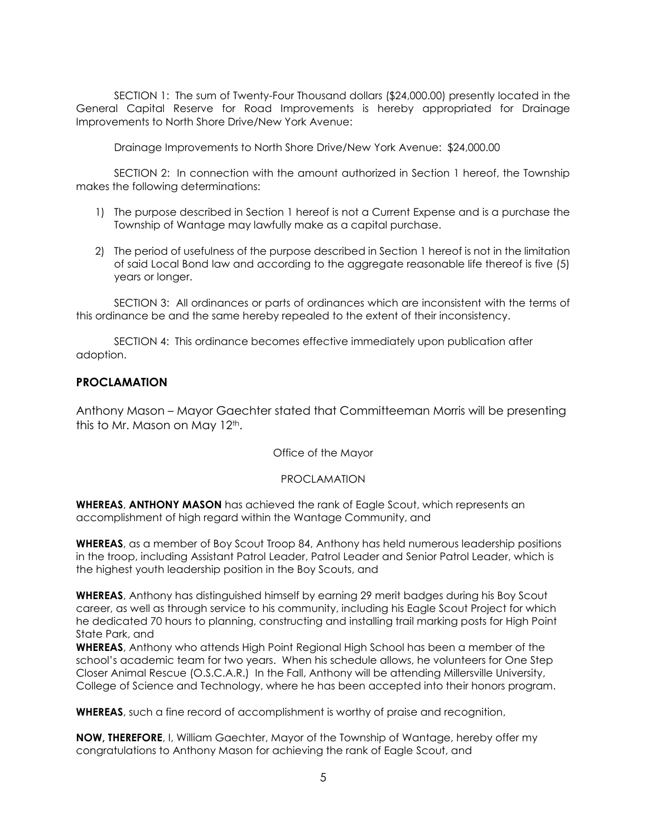SECTION 1: The sum of Twenty-Four Thousand dollars (\$24,000.00) presently located in the General Capital Reserve for Road Improvements is hereby appropriated for Drainage Improvements to North Shore Drive/New York Avenue:

Drainage Improvements to North Shore Drive/New York Avenue: \$24,000.00

SECTION 2: In connection with the amount authorized in Section 1 hereof, the Township makes the following determinations:

- 1) The purpose described in Section 1 hereof is not a Current Expense and is a purchase the Township of Wantage may lawfully make as a capital purchase.
- 2) The period of usefulness of the purpose described in Section 1 hereof is not in the limitation of said Local Bond law and according to the aggregate reasonable life thereof is five (5) years or longer.

SECTION 3: All ordinances or parts of ordinances which are inconsistent with the terms of this ordinance be and the same hereby repealed to the extent of their inconsistency.

SECTION 4: This ordinance becomes effective immediately upon publication after adoption.

# **PROCLAMATION**

Anthony Mason – Mayor Gaechter stated that Committeeman Morris will be presenting this to Mr. Mason on May 12<sup>th</sup>.

Office of the Mayor

## PROCLAMATION

**WHEREAS**, **ANTHONY MASON** has achieved the rank of Eagle Scout, which represents an accomplishment of high regard within the Wantage Community, and

**WHEREAS**, as a member of Boy Scout Troop 84, Anthony has held numerous leadership positions in the troop, including Assistant Patrol Leader, Patrol Leader and Senior Patrol Leader, which is the highest youth leadership position in the Boy Scouts, and

**WHEREAS**, Anthony has distinguished himself by earning 29 merit badges during his Boy Scout career, as well as through service to his community, including his Eagle Scout Project for which he dedicated 70 hours to planning, constructing and installing trail marking posts for High Point State Park, and

**WHEREAS**, Anthony who attends High Point Regional High School has been a member of the school's academic team for two years. When his schedule allows, he volunteers for One Step Closer Animal Rescue (O.S.C.A.R.) In the Fall, Anthony will be attending Millersville University, College of Science and Technology, where he has been accepted into their honors program.

**WHEREAS**, such a fine record of accomplishment is worthy of praise and recognition,

**NOW, THEREFORE**, I, William Gaechter, Mayor of the Township of Wantage, hereby offer my congratulations to Anthony Mason for achieving the rank of Eagle Scout, and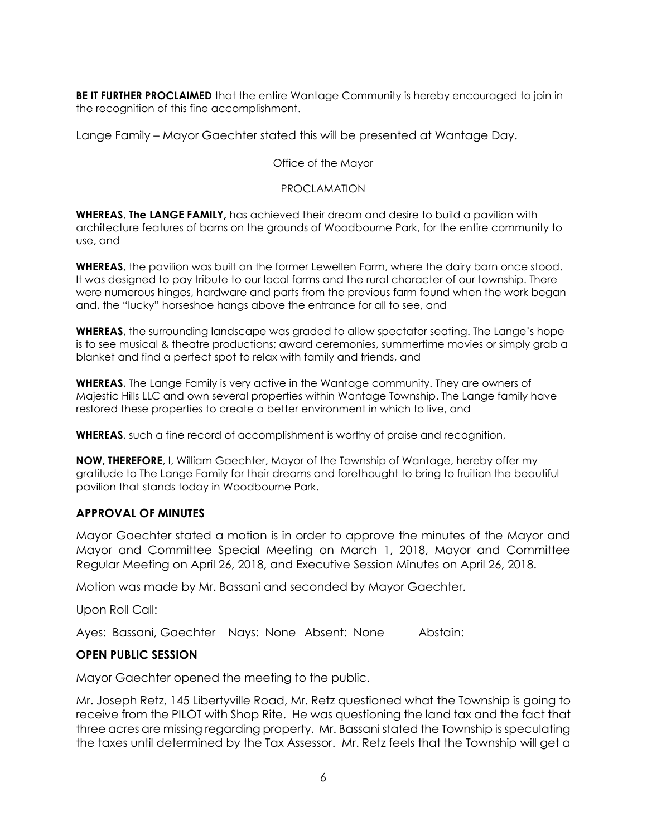**BE IT FURTHER PROCLAIMED** that the entire Wantage Community is hereby encouraged to join in the recognition of this fine accomplishment.

Lange Family – Mayor Gaechter stated this will be presented at Wantage Day.

Office of the Mayor

## PROCLAMATION

**WHEREAS**, **The LANGE FAMILY,** has achieved their dream and desire to build a pavilion with architecture features of barns on the grounds of Woodbourne Park, for the entire community to use, and

**WHEREAS**, the pavilion was built on the former Lewellen Farm, where the dairy barn once stood. It was designed to pay tribute to our local farms and the rural character of our township. There were numerous hinges, hardware and parts from the previous farm found when the work began and, the "lucky" horseshoe hangs above the entrance for all to see, and

**WHEREAS**, the surrounding landscape was graded to allow spectator seating. The Lange's hope is to see musical & theatre productions; award ceremonies, summertime movies or simply grab a blanket and find a perfect spot to relax with family and friends, and

**WHEREAS**, The Lange Family is very active in the Wantage community. They are owners of Majestic Hills LLC and own several properties within Wantage Township. The Lange family have restored these properties to create a better environment in which to live, and

**WHEREAS**, such a fine record of accomplishment is worthy of praise and recognition,

**NOW, THEREFORE**, I, William Gaechter, Mayor of the Township of Wantage, hereby offer my gratitude to The Lange Family for their dreams and forethought to bring to fruition the beautiful pavilion that stands today in Woodbourne Park.

# **APPROVAL OF MINUTES**

Mayor Gaechter stated a motion is in order to approve the minutes of the Mayor and Mayor and Committee Special Meeting on March 1, 2018, Mayor and Committee Regular Meeting on April 26, 2018, and Executive Session Minutes on April 26, 2018.

Motion was made by Mr. Bassani and seconded by Mayor Gaechter.

Upon Roll Call:

Ayes: Bassani, Gaechter Nays: None Absent: None Abstain:

# **OPEN PUBLIC SESSION**

Mayor Gaechter opened the meeting to the public.

Mr. Joseph Retz, 145 Libertyville Road, Mr. Retz questioned what the Township is going to receive from the PILOT with Shop Rite. He was questioning the land tax and the fact that three acres are missing regarding property. Mr. Bassani stated the Township is speculating the taxes until determined by the Tax Assessor. Mr. Retz feels that the Township will get a